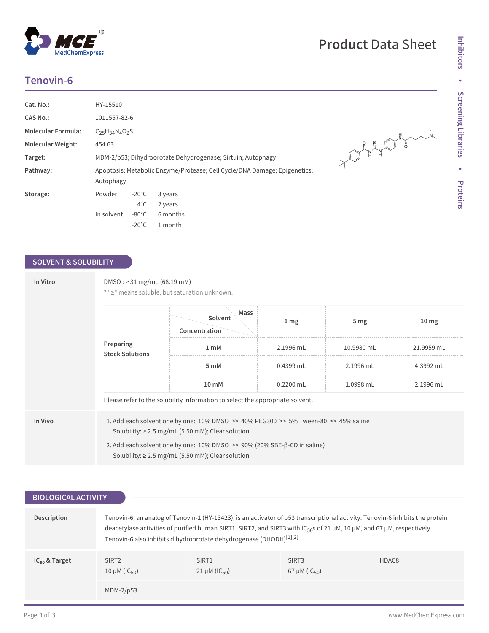# **Tenovin-6**

 $^{\circledR}$ 

MedChemExpress

| Cat. No.:                | HY-15510                  |                 |                                                                           |
|--------------------------|---------------------------|-----------------|---------------------------------------------------------------------------|
| <b>CAS No.:</b>          | 1011557-82-6              |                 |                                                                           |
| Molecular Formula:       | $C_{25}H_{34}N_{4}O_{2}S$ |                 |                                                                           |
| <b>Molecular Weight:</b> | 454.63                    |                 |                                                                           |
| Target:                  |                           |                 | MDM-2/p53; Dihydroorotate Dehydrogenase; Sirtuin; Autophagy               |
| Pathway:                 | Autophagy                 |                 | Apoptosis; Metabolic Enzyme/Protease; Cell Cycle/DNA Damage; Epigenetics; |
| Storage:                 | Powder                    | $-20^{\circ}$ C | 3 years                                                                   |
|                          |                           | $4^{\circ}$ C   | 2 years                                                                   |
|                          | In solvent                | $-80^{\circ}$ C | 6 months                                                                  |
|                          |                           | $-20^{\circ}$ C | 1 month                                                                   |

# AND PLAN PLAN

# **SOLVENT & SOLUBILITY**

| In Vitro | DMSO : ≥ 31 mg/mL (68.19 mM)<br>* ">" means soluble, but saturation unknown. |                                                                                                                                                                                                                                                                                                                  |                 |                 |                  |
|----------|------------------------------------------------------------------------------|------------------------------------------------------------------------------------------------------------------------------------------------------------------------------------------------------------------------------------------------------------------------------------------------------------------|-----------------|-----------------|------------------|
|          |                                                                              | Mass<br>Solvent<br>Concentration                                                                                                                                                                                                                                                                                 | 1 <sub>mg</sub> | 5 <sub>mg</sub> | 10 <sub>mg</sub> |
|          | Preparing<br><b>Stock Solutions</b>                                          | 1 <sub>mM</sub>                                                                                                                                                                                                                                                                                                  | 2.1996 mL       | 10.9980 mL      | 21.9959 mL       |
|          |                                                                              | 5 mM                                                                                                                                                                                                                                                                                                             | $0.4399$ mL     | 2.1996 mL       | 4.3992 mL        |
|          |                                                                              | $10 \text{ mM}$                                                                                                                                                                                                                                                                                                  | $0.2200$ mL     | 1.0998 mL       | 2.1996 mL        |
|          |                                                                              | Please refer to the solubility information to select the appropriate solvent.                                                                                                                                                                                                                                    |                 |                 |                  |
| In Vivo  |                                                                              | 1. Add each solvent one by one: $10\%$ DMSO $\geq$ 40% PEG300 $\geq$ 5% Tween-80 $\geq$ 45% saline<br>Solubility: $\geq$ 2.5 mg/mL (5.50 mM); Clear solution<br>2. Add each solvent one by one: $10\%$ DMSO $\gg$ 90% (20% SBE- $\beta$ -CD in saline)<br>Solubility: $\geq$ 2.5 mg/mL (5.50 mM); Clear solution |                 |                 |                  |

| <b>BIOLOGICAL ACTIVITY</b> |                                                     |                                                                                                                                                                                                                                                                                                                                                                        |                                                     |                   |
|----------------------------|-----------------------------------------------------|------------------------------------------------------------------------------------------------------------------------------------------------------------------------------------------------------------------------------------------------------------------------------------------------------------------------------------------------------------------------|-----------------------------------------------------|-------------------|
| Description                |                                                     | Tenovin-6, an analog of Tenovin-1 (HY-13423), is an activator of p53 transcriptional activity. Tenovin-6 inhibits the protein<br>deacetylase activities of purified human SIRT1, SIRT2, and SIRT3 with IC <sub>50</sub> s of 21 $\mu$ M, 10 $\mu$ M, and 67 $\mu$ M, respectively.<br>Tenovin-6 also inhibits dihydroorotate dehydrogenase (DHODH) <sup>[1][2]</sup> . |                                                     |                   |
| $IC_{50}$ & Target         | SIRT <sub>2</sub><br>10 $\mu$ M (IC <sub>50</sub> ) | SIRT <sub>1</sub><br>$21 \mu M (IC_{50})$                                                                                                                                                                                                                                                                                                                              | SIRT <sub>3</sub><br>67 $\mu$ M (IC <sub>50</sub> ) | HDAC <sub>8</sub> |
|                            | MDM-2/p53                                           |                                                                                                                                                                                                                                                                                                                                                                        |                                                     |                   |

# **Product** Data Sheet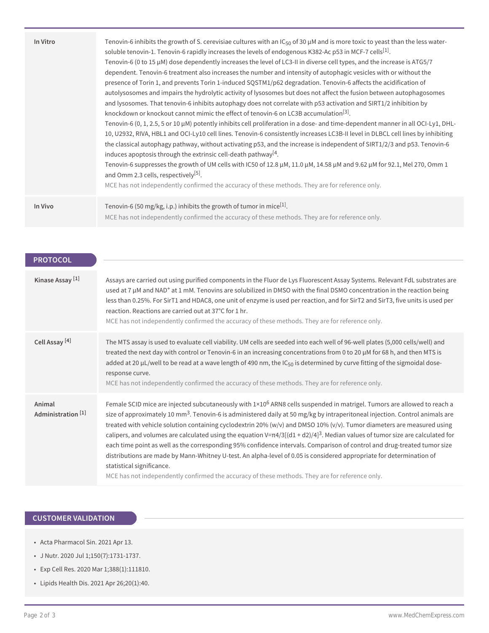| In Vitro | Tenovin-6 inhibits the growth of S. cerevisiae cultures with an $IC_{50}$ of 30 $\mu$ M and is more toxic to yeast than the less water-<br>soluble tenovin-1. Tenovin-6 rapidly increases the levels of endogenous K382-Ac p53 in MCF-7 cells[1].<br>Tenovin-6 (0 to 15 $\mu$ M) dose dependently increases the level of LC3-II in diverse cell types, and the increase is ATG5/7<br>dependent. Tenovin-6 treatment also increases the number and intensity of autophagic vesicles with or without the<br>presence of Torin 1, and prevents Torin 1-induced SQSTM1/p62 degradation. Tenovin-6 affects the acidification of<br>autolysosomes and impairs the hydrolytic activity of lysosomes but does not affect the fusion between autophagosomes<br>and lysosomes. That tenovin-6 inhibits autophagy does not correlate with p53 activation and SIRT1/2 inhibition by<br>knockdown or knockout cannot mimic the effect of tenovin-6 on LC3B accumulation <sup>[3]</sup> .<br>Tenovin-6 $(0, 1, 2.5, 5$ or 10 $\mu$ M) potently inhibits cell proliferation in a dose- and time-dependent manner in all OCI-Ly1, DHL-<br>10, U2932, RIVA, HBL1 and OCI-Ly10 cell lines. Tenovin-6 consistently increases LC3B-II level in DLBCL cell lines by inhibiting<br>the classical autophagy pathway, without activating p53, and the increase is independent of SIRT1/2/3 and p53. Tenovin-6<br>induces apoptosis through the extrinsic cell-death pathway <sup>[4</sup> .<br>Tenovin-6 suppresses the growth of UM cells with IC50 of 12.8 µM, 11.0 µM, 14.58 µM and 9.62 µM for 92.1, Mel 270, Omm 1<br>and Omm 2.3 cells, respectively <sup>[5]</sup> .<br>MCE has not independently confirmed the accuracy of these methods. They are for reference only. |
|----------|--------------------------------------------------------------------------------------------------------------------------------------------------------------------------------------------------------------------------------------------------------------------------------------------------------------------------------------------------------------------------------------------------------------------------------------------------------------------------------------------------------------------------------------------------------------------------------------------------------------------------------------------------------------------------------------------------------------------------------------------------------------------------------------------------------------------------------------------------------------------------------------------------------------------------------------------------------------------------------------------------------------------------------------------------------------------------------------------------------------------------------------------------------------------------------------------------------------------------------------------------------------------------------------------------------------------------------------------------------------------------------------------------------------------------------------------------------------------------------------------------------------------------------------------------------------------------------------------------------------------------------------------------------------------------------------------------------------------------------------------------------|
| In Vivo  | Tenovin-6 (50 mg/kg, i.p.) inhibits the growth of tumor in mice <sup>[1]</sup> .<br>MCE has not independently confirmed the accuracy of these methods. They are for reference only.                                                                                                                                                                                                                                                                                                                                                                                                                                                                                                                                                                                                                                                                                                                                                                                                                                                                                                                                                                                                                                                                                                                                                                                                                                                                                                                                                                                                                                                                                                                                                                    |

| <b>PROTOCOL</b><br>Kinase Assay <sup>[1]</sup> | Assays are carried out using purified components in the Fluor de Lys Fluorescent Assay Systems. Relevant FdL substrates are<br>used at 7 µM and NAD <sup>+</sup> at 1 mM. Tenovins are solubilized in DMSO with the final DSMO concentration in the reaction being<br>less than 0.25%. For SirT1 and HDAC8, one unit of enzyme is used per reaction, and for SirT2 and SirT3, five units is used per<br>reaction. Reactions are carried out at 37°C for 1 hr.<br>MCE has not independently confirmed the accuracy of these methods. They are for reference only.                                                                                                                                                                                                                                                                                                                                                                         |
|------------------------------------------------|------------------------------------------------------------------------------------------------------------------------------------------------------------------------------------------------------------------------------------------------------------------------------------------------------------------------------------------------------------------------------------------------------------------------------------------------------------------------------------------------------------------------------------------------------------------------------------------------------------------------------------------------------------------------------------------------------------------------------------------------------------------------------------------------------------------------------------------------------------------------------------------------------------------------------------------|
| Cell Assay <sup>[4]</sup>                      | The MTS assay is used to evaluate cell viability. UM cells are seeded into each well of 96-well plates (5,000 cells/well) and<br>treated the next day with control or Tenovin-6 in an increasing concentrations from 0 to 20 µM for 68 h, and then MTS is<br>added at 20 µL/well to be read at a wave length of 490 nm, the $IC_{50}$ is determined by curve fitting of the sigmoidal dose-<br>response curve.<br>MCE has not independently confirmed the accuracy of these methods. They are for reference only.                                                                                                                                                                                                                                                                                                                                                                                                                        |
| Animal<br>Administration <sup>[1]</sup>        | Female SCID mice are injected subcutaneously with $1\times10^6$ ARN8 cells suspended in matrigel. Tumors are allowed to reach a<br>size of approximately 10 mm <sup>3</sup> . Tenovin-6 is administered daily at 50 mg/kg by intraperitoneal injection. Control animals are<br>treated with vehicle solution containing cyclodextrin 20% ( $w/v$ ) and DMSO 10% ( $v/v$ ). Tumor diameters are measured using<br>calipers, and volumes are calculated using the equation $V=\pi 4/3[(d1 + d2)/4]^3$ . Median values of tumor size are calculated for<br>each time point as well as the corresponding 95% confidence intervals. Comparison of control and drug-treated tumor size<br>distributions are made by Mann-Whitney U-test. An alpha-level of 0.05 is considered appropriate for determination of<br>statistical significance.<br>MCE has not independently confirmed the accuracy of these methods. They are for reference only. |

## **CUSTOMER VALIDATION**

- Acta Pharmacol Sin. 2021 Apr 13.
- J Nutr. 2020 Jul 1;150(7):1731-1737.
- Exp Cell Res. 2020 Mar 1;388(1):111810.
- Lipids Health Dis. 2021 Apr 26;20(1):40.